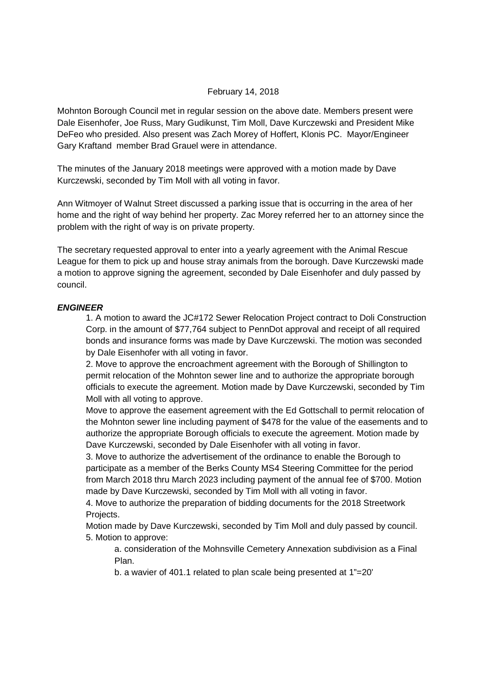#### February 14, 2018

Mohnton Borough Council met in regular session on the above date. Members present were Dale Eisenhofer, Joe Russ, Mary Gudikunst, Tim Moll, Dave Kurczewski and President Mike DeFeo who presided. Also present was Zach Morey of Hoffert, Klonis PC. Mayor/Engineer Gary Kraftand member Brad Grauel were in attendance.

The minutes of the January 2018 meetings were approved with a motion made by Dave Kurczewski, seconded by Tim Moll with all voting in favor.

Ann Witmoyer of Walnut Street discussed a parking issue that is occurring in the area of her home and the right of way behind her property. Zac Morey referred her to an attorney since the problem with the right of way is on private property.

The secretary requested approval to enter into a yearly agreement with the Animal Rescue League for them to pick up and house stray animals from the borough. Dave Kurczewski made a motion to approve signing the agreement, seconded by Dale Eisenhofer and duly passed by council.

#### **ENGINEER**

1. A motion to award the JC#172 Sewer Relocation Project contract to Doli Construction Corp. in the amount of \$77,764 subject to PennDot approval and receipt of all required bonds and insurance forms was made by Dave Kurczewski. The motion was seconded by Dale Eisenhofer with all voting in favor.

2. Move to approve the encroachment agreement with the Borough of Shillington to permit relocation of the Mohnton sewer line and to authorize the appropriate borough officials to execute the agreement. Motion made by Dave Kurczewski, seconded by Tim Moll with all voting to approve.

Move to approve the easement agreement with the Ed Gottschall to permit relocation of the Mohnton sewer line including payment of \$478 for the value of the easements and to authorize the appropriate Borough officials to execute the agreement. Motion made by Dave Kurczewski, seconded by Dale Eisenhofer with all voting in favor.

3. Move to authorize the advertisement of the ordinance to enable the Borough to participate as a member of the Berks County MS4 Steering Committee for the period from March 2018 thru March 2023 including payment of the annual fee of \$700. Motion made by Dave Kurczewski, seconded by Tim Moll with all voting in favor.

4. Move to authorize the preparation of bidding documents for the 2018 Streetwork Projects.

Motion made by Dave Kurczewski, seconded by Tim Moll and duly passed by council. 5. Motion to approve:

a. consideration of the Mohnsville Cemetery Annexation subdivision as a Final Plan.

b. a wavier of 401.1 related to plan scale being presented at 1"=20'